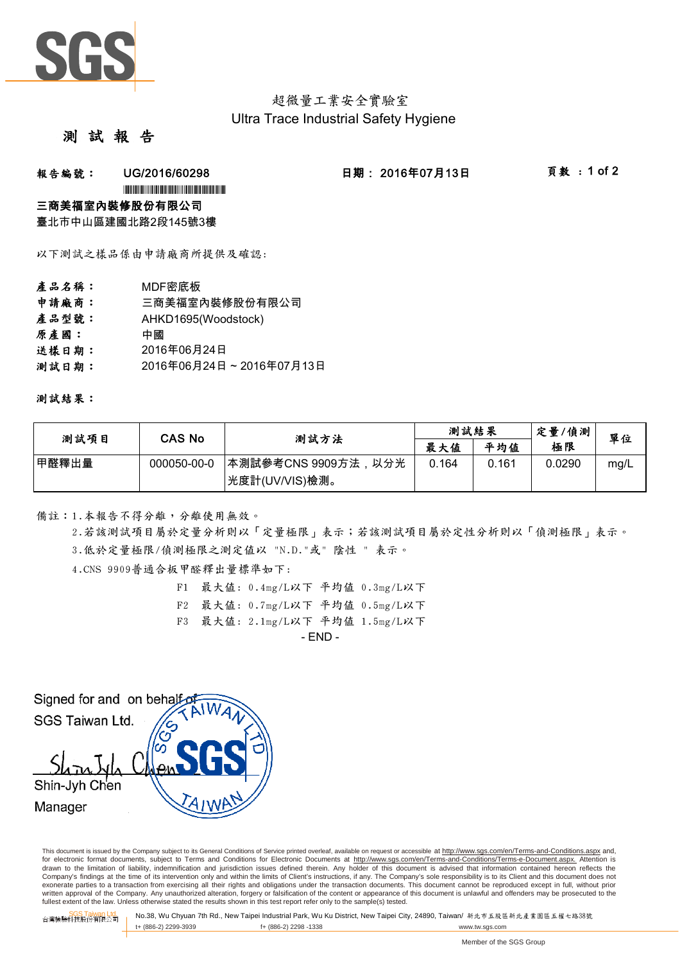

# 超微量工業安全實驗室 Ultra Trace Industrial Safety Hygiene

### 測 試 報

### **報告編號: UG/2016/60298 日期:2016年07月13日 頁數:1 of 2**

\*UG/2016/60298\*UG/2016/60298\*UG/2016

#### 三商美福室內裝修股份有限公司

臺北市中山區建國北路2段145號3樓

以下測試之樣品係由申請廠商所提供及確認:

- 產品名稱: MDF密底板 申請廠商: 三商美福室內裝修股份有限公司 產品型號: AHKD1695(Woodstock) 原產國: 中國 送樣日期: 2016年06月24日
- 測試日期: 2016年06月24日~2016年07月13日

測試結果:

| 測試項目  | CAS No      | 测試方法                 | 測試結果  |       | 定量/偵測  | 單位   |
|-------|-------------|----------------------|-------|-------|--------|------|
|       |             |                      | 最大值   | 平均值   | 極限     |      |
| 甲醛釋出量 | 000050-00-0 | │本測試參考CNS 9909方法,以分光 | 0.164 | 0.161 | 0.0290 | mg/L |
|       |             | 光度計(UV/VIS)檢測。       |       |       |        |      |

備註:1.本報告不得分離,分離使用無效。

3.低於定量極限/偵測極限之測定值以 "N.D."或" 陰性 " 表示。 2.若該測試項目屬於定量分析則以「定量極限」表示;若該測試項目屬於定性分析則以「偵測極限」表示。

4.CNS 9909普通合板甲醛釋出量標準如下:

- F1 最大值: 0.4mg/L以下 平均值 0.3mg/L以下
- F2 最大值: 0.7mg/L以下 平均值 0.5mg/L以下
- F3 最大值: 2.1mg/L以下 平均值 1.5mg/L以下

 $-$  FND  $-$ 

Signed for and on behalf SGS Taiwan Ltd. Shin-Jvh Chen Manager

This document is issued by the Company subject to its General Conditions of Service printed overleaf, available on request or accessible at http://www.sgs.com/en/Terms-and-Conditions.aspx and, for electronic format documents, subject to Terms and Conditions for Electronic Documents at http://www.sgs.com/en/Terms-and-Conditions/Terms-e-Document.aspx. Attention is drawn to the limitation of liability, indemnification and jurisdiction issues defined therein. Any holder of this document is advised that information contained hereon reflects the Company's findings at the time of its intervention only and within the limits of Client's instructions, if any. The Company's sole responsibility is to its Client and this document does not exonerate parties to a transaction from exercising all their rights and obligations under the transaction documents. This document cannot be reproduced except in full, without prior written approval of the Company. Any unauthorized alteration, forgery or falsification of the content or appearance of this document is unlawful and offenders may be prosecuted to the<br>fullest extent of the law. Unless othe

SGS Taiwan Ltd. 台灣檢驗科技股份有限公司 No.38, Wu Chyuan 7th Rd., New Taipei Industrial Park, Wu Ku District, New Taipei City, 24890, Taiwan/ 新北市五股區新北產業園區五權七路38號 t+ (886-2) 2299-3939 f+ (886-2) 2298 -1338